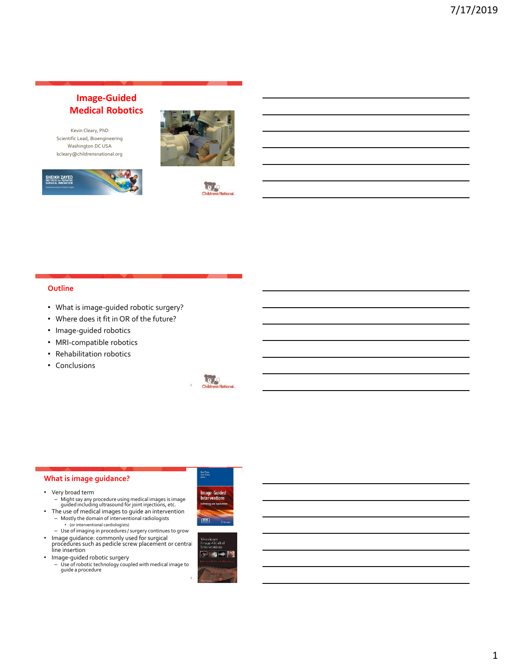# **Image-Guided Medical Robotics**

Kevin Cleary, PhD Scientific Lead, Bioengineering Washington DC USA kcleary@childrensnational.org







#### **Outline**

- What is image-guided robotic surgery?
- Where does it fit in OR of the future?
- Image-guided robotics
- MRI-compatible robotics
- Rehabilitation robotics
- Conclusions



#### **What is image guidance?**

- Very broad term
	- Might say any procedure using medical images is image-guided including ultrasound for joint injections, etc.
- The use of medical images to guide an intervention – Mostly the domain of interventional radiologists
	- (or interventional cardiologists) – Use of imaging in procedures / surgery continues to grow
	-
- Image guidance: commonly used for surgical procedures such as pedicle screw placement or central line insertion
- Image-guided robotic surgery
	- Use of robotic technology coupled with medical image to guide a procedure





3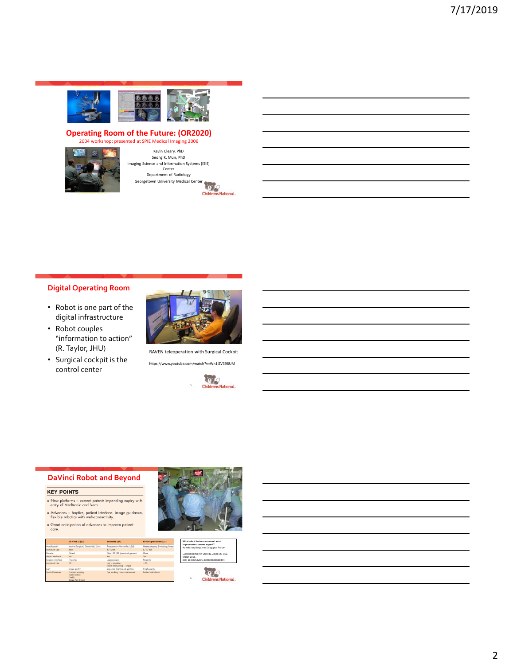

# **Operating Room of the Future: (OR2020)**<br>
2004 workshop: presented at SPIE Medical Imaging 2006



Kevin Cleary, PhD Seong K. Mun, PhD Imaging Science and Information Systems (ISIS) Center Department of Radiology Georgetown University Medical Center

**Children's National** 

# **Digital Operating Room**

- Robot is one part of the digital infrastructure
- Robot couples "information to action" (R. Taylor, JHU)
- Surgical cockpit is the control center



RAVEN teleoperation with Surgical Cockpit https://www.youtube.com/watch?v=Wn1IZV398UM



#### **DaVinci Robot and Beyond**

#### **KEY POINTS**

- $\bullet$  New platforms current patents impending expiry with entry of Medtronic and Verb.
- $\bullet$  Advances haptics, patient interface, image guidance, flexible robotics with web-connectivity.
- Great anticipation of advances to improve patient<br>care.

|                       | <b>Bu Vind 35 (33)</b>                                          | Serbanes [34]                                 | REVOIL (areclinical) (35)     |
|-----------------------|-----------------------------------------------------------------|-----------------------------------------------|-------------------------------|
| Mondacture            | Intuitive Surgicol, (Sunnyvole, USA)                            | Transmission (Morrisville, USA)               | Meerecompany (Hwaisong,Koreo) |
| Instrument size       | <b>Renes</b>                                                    | $5/10$ mm                                     | 8/10 mm                       |
| Console               | Closed                                                          | Open 3D HD (polarized glasses)                | Open                          |
| Hopki: foodbock       | No.                                                             | Yes                                           | Yes:                          |
| Surgeon interface     | Fingertip                                                       | Interesemple.                                 | Fingerlip                     |
| <b>Instrument Use</b> | 10 <sub>1</sub>                                                 | Loo - revenble<br>Rodio orticulating - single | $-20$                         |
| Con                   | Single gomry                                                    | Separate Roor based apprises                  | Single garriry                |
| Special Ferrores      | Camiro hopping<br>Toble motion<br>FireFly<br>Single Port System | Eye hacking camera movement                   | Himiland methodological       |





6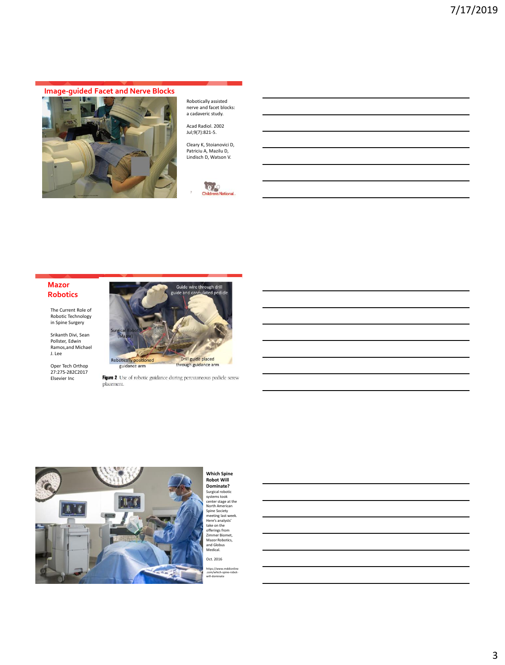# **Image-guided Facet and Nerve Blocks**



Robotically assisted nerve and facet blocks: a cadaveric study.

Acad Radiol. 2002 Jul;9(7):821-5.

Cleary K, Stoianovici D, Patriciu A, Mazilu D, Lindisch D, Watson V.



#### **Mazor Robotics**

The Current Role of Robotic Technology in Spine Surgery

Srikanth Divi, Sean Pollster, Edwin Ramos,and Michael J. Lee

Oper Tech Orthop 27:275-282C2017 Elsevier Inc



Figure 2 Use of robotic guidance during percutaneous pedicle screw placement.



**Which Spine Robot Will Dominate?**<br>Surgical robotic<br>center stage at the<br>North American<br>meeting last week.<br>Here's analysts'<br>take on the<br>Here's analysts'<br>take on the<br>Zimmer Biomet,<br>Mazor Robotics,<br>and Globus<br>Medical. Oct. 2016

https://www.mddionline .com/which-spine-robot-will-dominate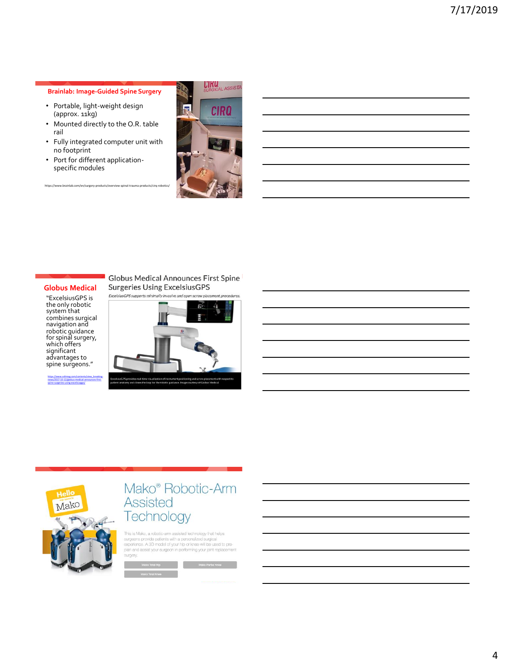#### **Brainlab: Image-Guided Spine Surgery**

- Portable, light-weight design (approx. 11kg)
- Mounted directly to the O.R. table rail
- Fully integrated computer unit with no footprint
- Port for different applicationspecific modules



#### **Globus Medical**

https://www.brainlab.com/en/surgery-prod

"ExcelsiusGPS is the only robotic system that combines surgical navigation and robotic guidance for spinal surgery, which offers significant advantages to spine surgeons."

[https://www.odtmag.com/contents/view\\_breaking](https://www.odtmag.com/contents/view_breaking-news/2017-10-12/globus-medical-announces-first-spine-surgeries-using-excelsiusgps/)news/2017-10-12/globus-medical-announces-firstspine-surgeries-using-excelsiusgps/

#### **Globus Medical Announces First Spine Surgeries Using ExcelsiusGPS**





# Mako<sup>®</sup> Robotic-Arm **Assisted** Technology

This is Mako, a robotic-arm assisted technology that helps<br>surgeons provide patients with a personalized surgical<br>experience. A 3D model of your hip or knee will be used to pre-<br>plan and assist your surgeon in performing y surgery.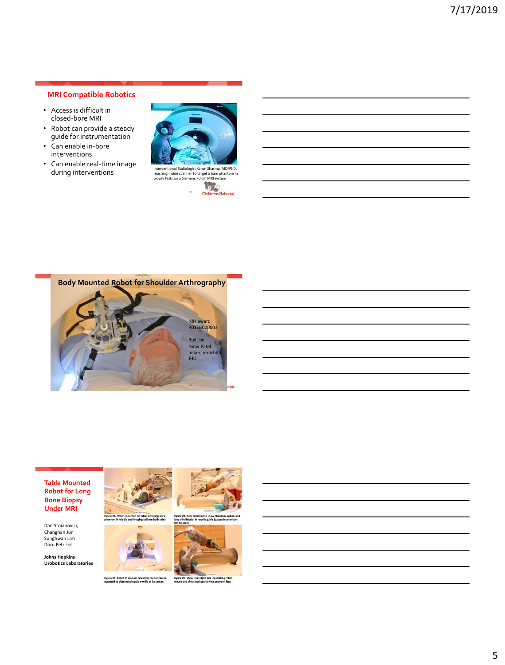### **MRI Compatible Robotics**

- Access is difficult in closed-bore MRI
- Robot can provide a steady guide for instrumentation
- Can enable in-bore interventions
- Can enable real-time image during interventions





**Body Mounted Robot for Shoulder Arthrography** 



#### **Table Mounted Robot for Long Bone Biopsy Under MRI**

Dan Stoianovici, Changhan Jun Sunghwan Lim Doru Petrisor

**Johns Hopkins Urobotics Laboratories**





Figure 2C. Robot in scanner isocenter. Robot can be Figure 2C. Robot in scanner isocenter. The mot